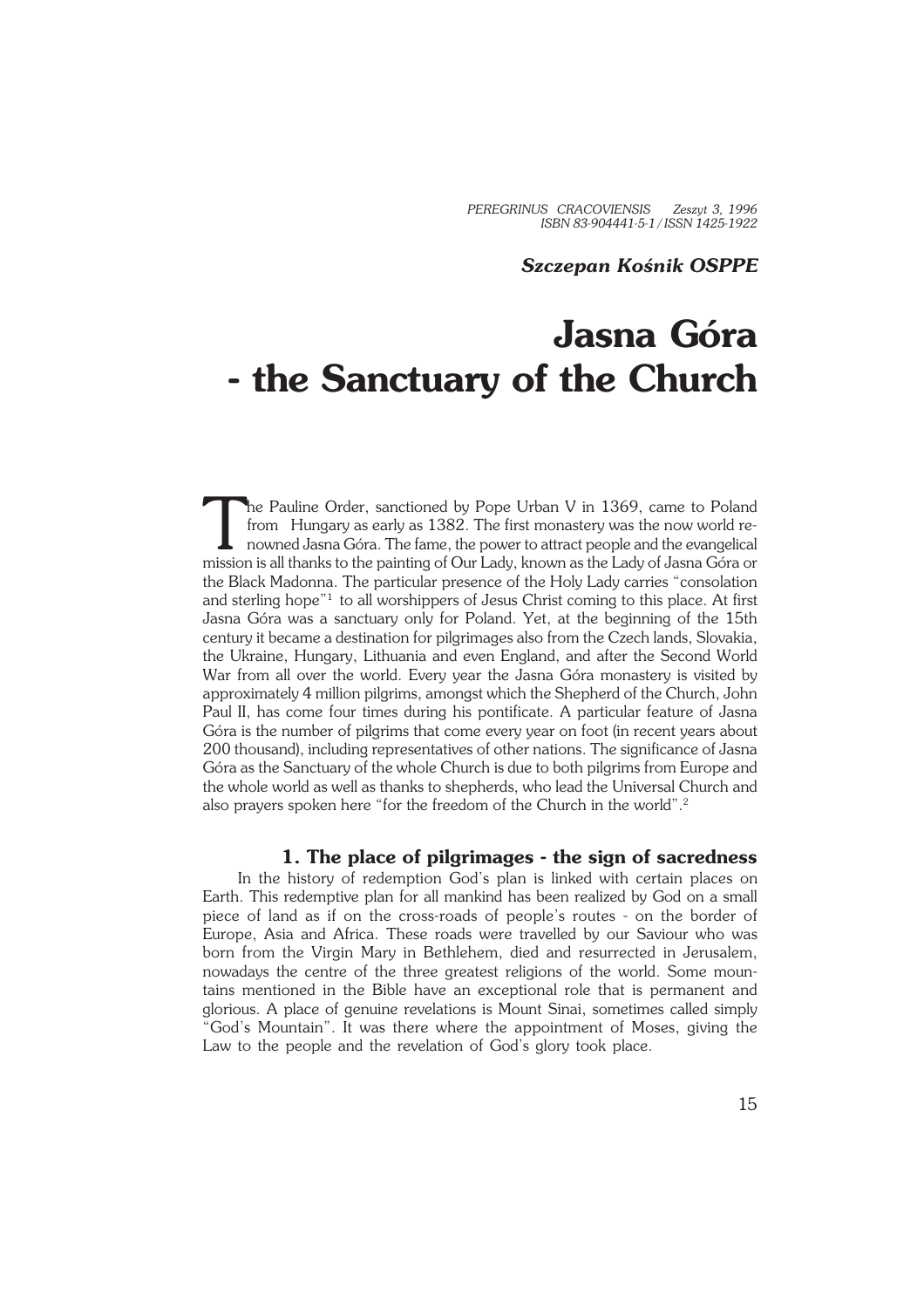*PEREGRINUS CRACOVIENSIS Zeszyt 3, 1996 ISBN 83−904441−5−1 / ISSN 1425−1922*

### *Szczepan Kośnik OSPPE*

# **Jasna Góra − the Sanctuary of the Church**

The Pauline Order, sanctioned by Pope Urban V in 1369, came to Poland<br>from Hungary as early as 1382. The first monastery was the now world re-<br>nowned Jasna Góra. The fame, the power to attract people and the evangelical<br>mi he Pauline Order, sanctioned by Pope Urban V in 1369, came to Poland from Hungary as early as 1382. The first monastery was the now world re− nowned Jasna Góra. The fame, the power to attract people and the evangelical the Black Madonna. The particular presence of the Holy Lady carries "consolation and sterling hope"<sup>1</sup> to all worshippers of Jesus Christ coming to this place. At first Jasna Góra was a sanctuary only for Poland. Yet, at the beginning of the 15th century it became a destination for pilgrimages also from the Czech lands, Slovakia, the Ukraine, Hungary, Lithuania and even England, and after the Second World War from all over the world. Every year the Jasna Góra monastery is visited by approximately 4 million pilgrims, amongst which the Shepherd of the Church, John Paul II, has come four times during his pontificate. A particular feature of Jasna Góra is the number of pilgrims that come every year on foot (in recent years about 200 thousand), including representatives of other nations. The significance of Jasna Góra as the Sanctuary of the whole Church is due to both pilgrims from Europe and the whole world as well as thanks to shepherds, who lead the Universal Church and also prayers spoken here "for the freedom of the Church in the world".<sup>2</sup>

## **1. The place of pilgrimages − the sign of sacredness**

In the history of redemption God's plan is linked with certain places on Earth. This redemptive plan for all mankind has been realized by God on a small piece of land as if on the cross−roads of people's routes − on the border of Europe, Asia and Africa. These roads were travelled by our Saviour who was born from the Virgin Mary in Bethlehem, died and resurrected in Jerusalem, nowadays the centre of the three greatest religions of the world. Some moun− tains mentioned in the Bible have an exceptional role that is permanent and glorious. A place of genuine revelations is Mount Sinai, sometimes called simply "God's Mountain". It was there where the appointment of Moses, giving the Law to the people and the revelation of God's glory took place.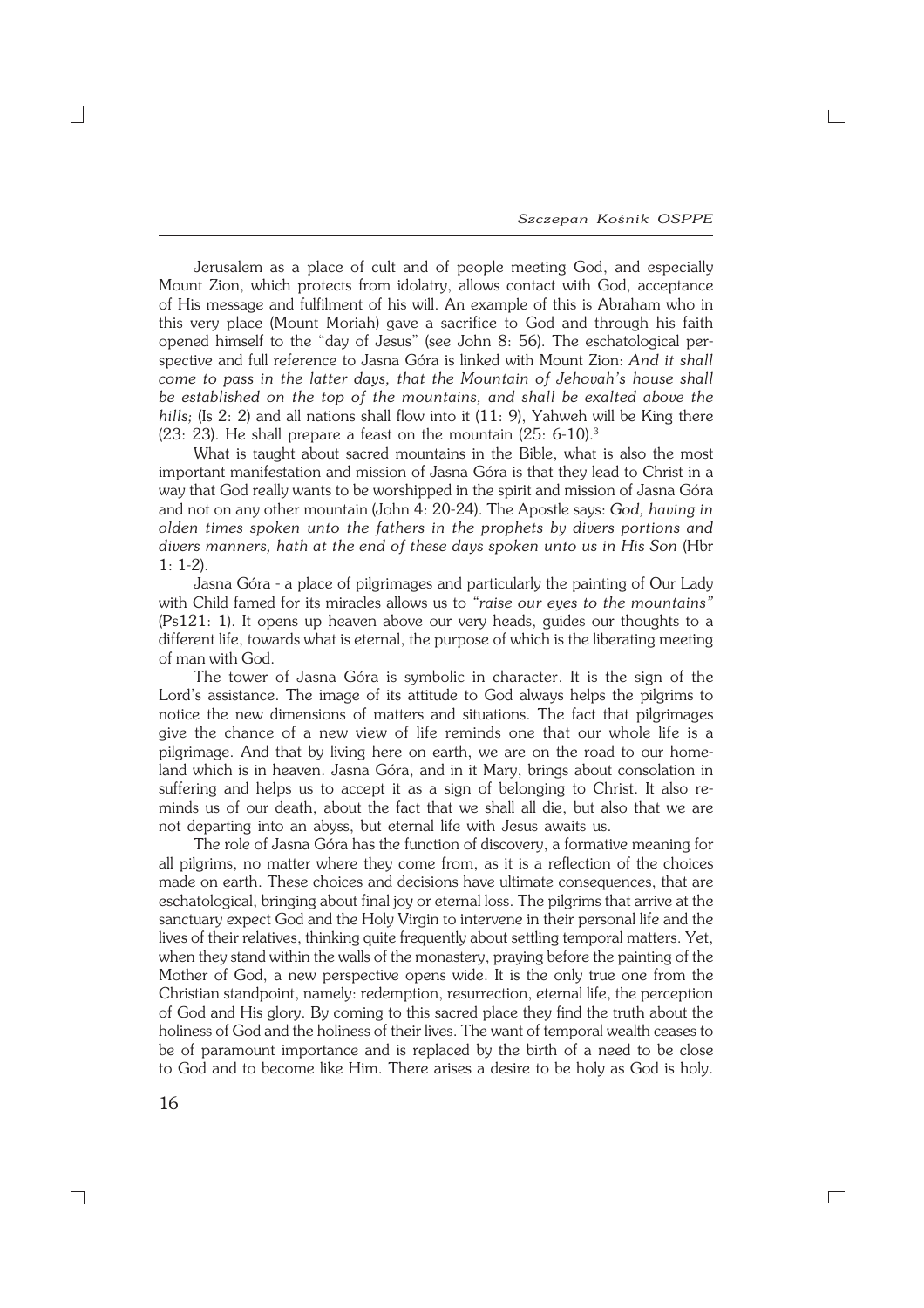$\Gamma$ 

Jerusalem as a place of cult and of people meeting God, and especially Mount Zion, which protects from idolatry, allows contact with God, acceptance of His message and fulfilment of his will. An example of this is Abraham who in this very place (Mount Moriah) gave a sacrifice to God and through his faith opened himself to the "day of Jesus" (see John 8: 56). The eschatological per− spective and full reference to Jasna Góra is linked with Mount Zion: *And it shall come to pass in the latter days, that the Mountain of Jehovah's house shall be established on the top of the mountains, and shall be exalted above the hills;* (Is 2: 2) and all nations shall flow into it (11: 9), Yahweh will be King there (23: 23). He shall prepare a feast on the mountain (25: 6−10).<sup>3</sup>

What is taught about sacred mountains in the Bible, what is also the most important manifestation and mission of Jasna Góra is that they lead to Christ in a way that God really wants to be worshipped in the spirit and mission of Jasna Góra and not on any other mountain (John 4: 20−24). The Apostle says: *God, having in olden times spoken unto the fathers in the prophets by divers portions and divers manners, hath at the end of these days spoken unto us in His Son* (Hbr 1:1−2).

Jasna Góra − a place of pilgrimages and particularly the painting of Our Lady with Child famed for its miracles allows us to *"raise our eyes to the mountains"* (Ps121: 1). It opens up heaven above our very heads, guides our thoughts to a different life, towards what is eternal, the purpose of which is the liberating meeting of man with God.

The tower of Jasna Góra is symbolic in character. It is the sign of the Lord's assistance. The image of its attitude to God always helps the pilgrims to notice the new dimensions of matters and situations. The fact that pilgrimages give the chance of a new view of life reminds one that our whole life is a pilgrimage. And that by living here on earth, we are on the road to our home− land which is in heaven. Jasna Góra, and in it Mary, brings about consolation in suffering and helps us to accept it as a sign of belonging to Christ. It also re− minds us of our death, about the fact that we shall all die, but also that we are not departing into an abyss, but eternal life with Jesus awaits us.

The role of Jasna Góra has the function of discovery, a formative meaning for all pilgrims, no matter where they come from, as it is a reflection of the choices made on earth. These choices and decisions have ultimate consequences, that are eschatological, bringing about final joy or eternal loss. The pilgrims that arrive at the sanctuary expect God and the Holy Virgin to intervene in their personal life and the lives of their relatives, thinking quite frequently about settling temporal matters. Yet, when they stand within the walls of the monastery, praying before the painting of the Mother of God, a new perspective opens wide. It is the only true one from the Christian standpoint, namely: redemption, resurrection, eternal life, the perception of God and His glory. By coming to this sacred place they find the truth about the holiness of God and the holiness of their lives. The want of temporal wealth ceases to be of paramount importance and is replaced by the birth of a need to be close to God and to become like Him. There arises a desire to be holy as God is holy.

┑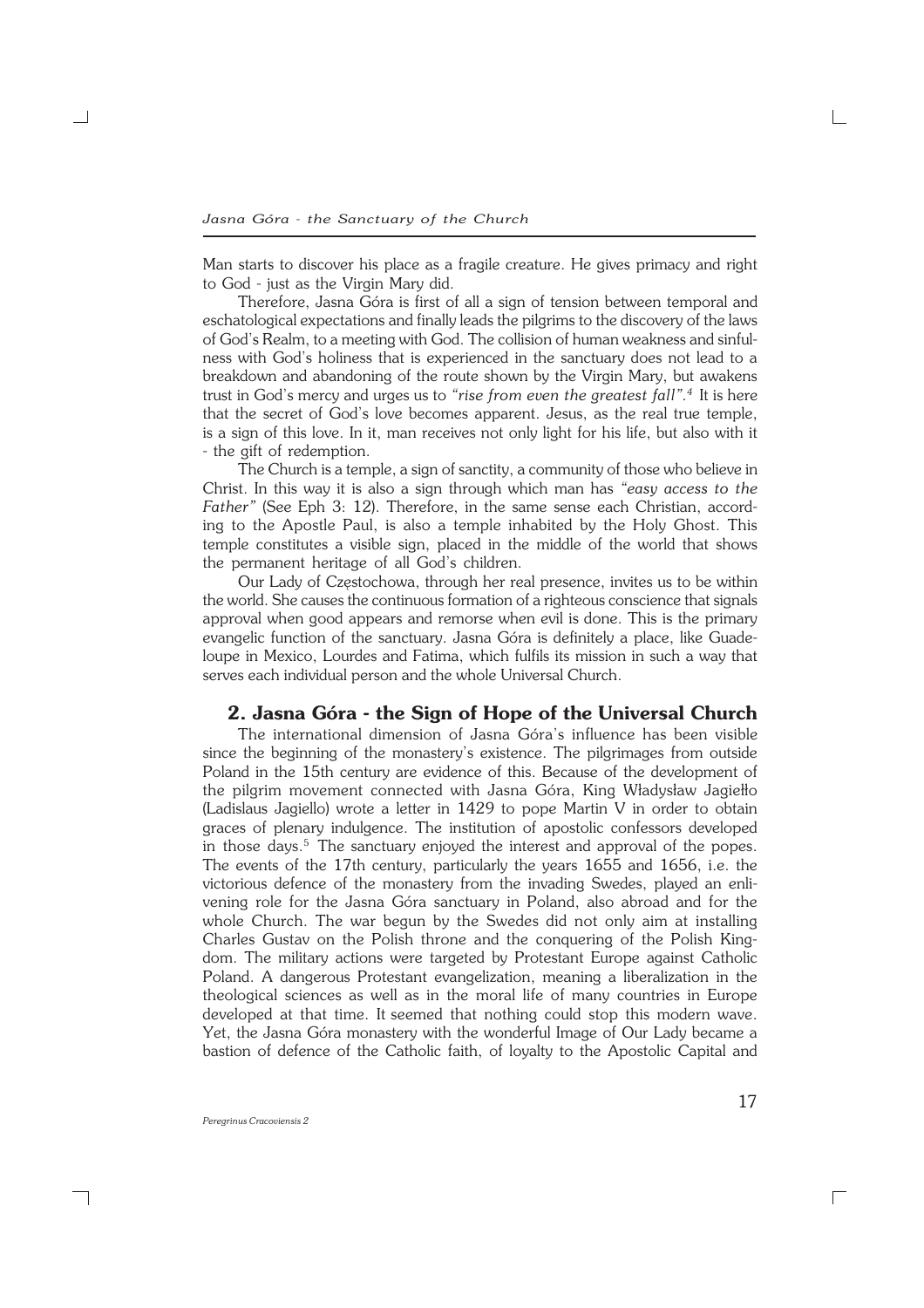Man starts to discover his place as a fragile creature. He gives primacy and right to God − just as the Virgin Mary did.

Therefore, Jasna Góra is first of all a sign of tension between temporal and eschatological expectations and finally leads the pilgrims to the discovery of the laws of God's Realm, to a meeting with God. The collision of human weakness and sinful− ness with God's holiness that is experienced in the sanctuary does not lead to a breakdown and abandoning of the route shown by the Virgin Mary, but awakens trust in God's mercy and urges us to *"rise from even the greatest fall".<sup>4</sup>* It is here that the secret of God's love becomes apparent. Jesus, as the real true temple, is a sign of this love. In it, man receives not only light for his life, but also with it − the gift of redemption.

The Church is a temple, a sign of sanctity, a community of those who believe in Christ. In this way it is also a sign through which man has *"easy access to the Father"* (See Eph 3: 12). Therefore, in the same sense each Christian, accord− ing to the Apostle Paul, is also a temple inhabited by the Holy Ghost. This temple constitutes a visible sign, placed in the middle of the world that shows the permanent heritage of all God's children.

Our Lady of Częstochowa, through her real presence, invites us to be within the world. She causes the continuous formation of a righteous conscience that signals approval when good appears and remorse when evil is done. This is the primary evangelic function of the sanctuary. Jasna Góra is definitely a place, like Guadeloupe in Mexico, Lourdes and Fatima, which fulfils its mission in such a way that serves each individual person and the whole Universal Church.

### **2. Jasna Góra − the Sign of Hope of the Universal Church**

The international dimension of Jasna Góra's influence has been visible since the beginning of the monastery's existence. The pilgrimages from outside Poland in the 15th century are evidence of this. Because of the development of the pilgrim movement connected with Jasna Góra, King Władysław Jagiełło (Ladislaus Jagiello) wrote a letter in 1429 to pope Martin V in order to obtain graces of plenary indulgence. The institution of apostolic confessors developed in those days.<sup>5</sup> The sanctuary enjoyed the interest and approval of the popes. The events of the 17th century, particularly the years 1655 and 1656, i.e. the victorious defence of the monastery from the invading Swedes, played an enli− vening role for the Jasna Góra sanctuary in Poland, also abroad and for the whole Church. The war begun by the Swedes did not only aim at installing Charles Gustav on the Polish throne and the conquering of the Polish King− dom. The military actions were targeted by Protestant Europe against Catholic Poland. A dangerous Protestant evangelization, meaning a liberalization in the theological sciences as well as in the moral life of many countries in Europe developed at that time. It seemed that nothing could stop this modern wave. Yet, the Jasna Góra monastery with the wonderful Image of Our Lady became a bastion of defence of the Catholic faith, of loyalty to the Apostolic Capital and

┐

 $\Box$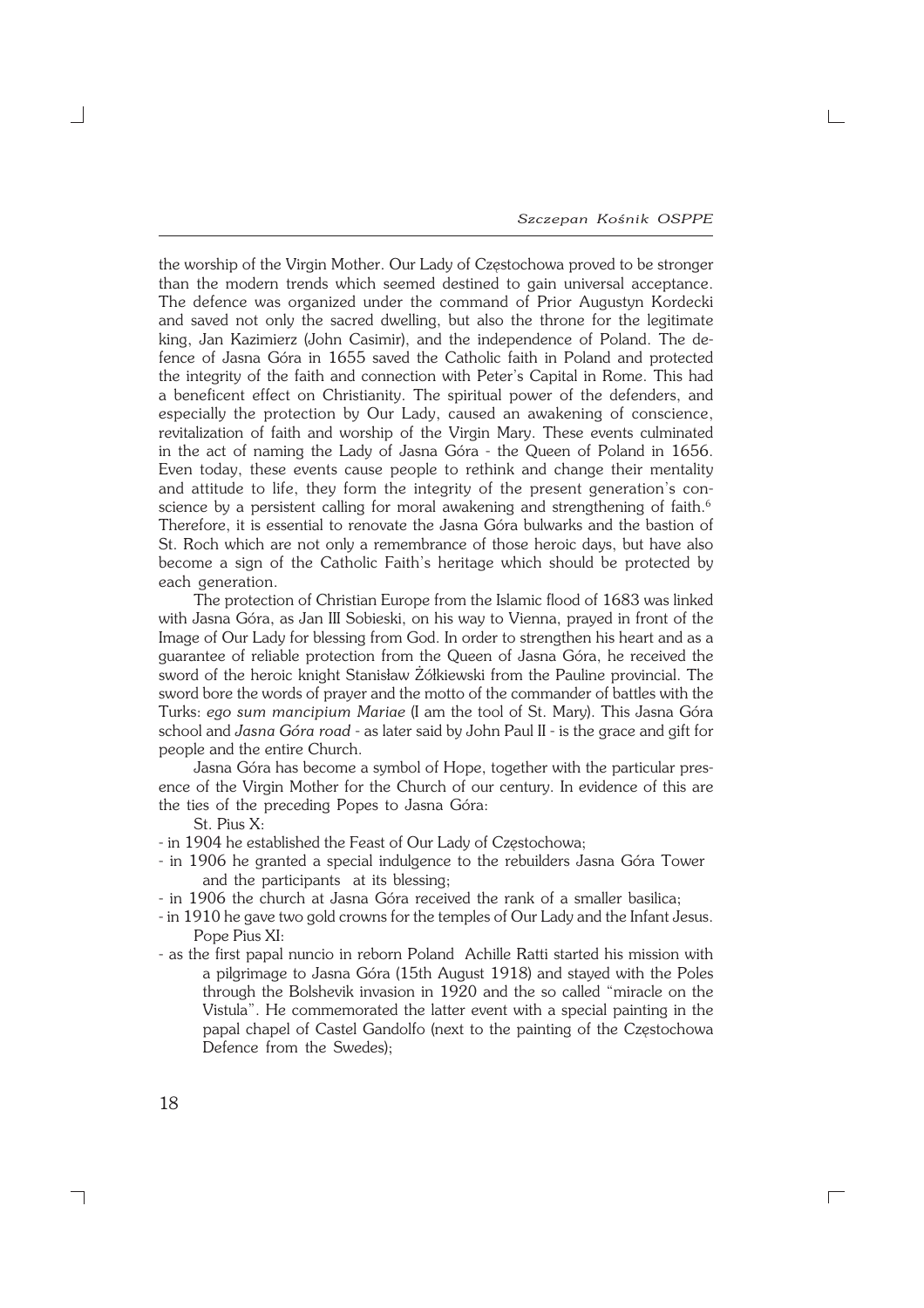$\Box$ 

the worship of the Virgin Mother. Our Lady of Częstochowa proved to be stronger than the modern trends which seemed destined to gain universal acceptance. The defence was organized under the command of Prior Augustyn Kordecki and saved not only the sacred dwelling, but also the throne for the legitimate king, Jan Kazimierz (John Casimir), and the independence of Poland. The de− fence of Jasna Góra in 1655 saved the Catholic faith in Poland and protected the integrity of the faith and connection with Peter's Capital in Rome. This had a beneficent effect on Christianity. The spiritual power of the defenders, and especially the protection by Our Lady, caused an awakening of conscience, revitalization of faith and worship of the Virgin Mary. These events culminated in the act of naming the Lady of Jasna Góra − the Queen of Poland in 1656. Even today, these events cause people to rethink and change their mentality and attitude to life, they form the integrity of the present generation's con− science by a persistent calling for moral awakening and strengthening of faith.<sup>6</sup> Therefore, it is essential to renovate the Jasna Góra bulwarks and the bastion of St. Roch which are not only a remembrance of those heroic days, but have also become a sign of the Catholic Faith's heritage which should be protected by each generation.

The protection of Christian Europe from the Islamic flood of 1683 was linked with Jasna Góra, as Jan III Sobieski, on his way to Vienna, prayed in front of the Image of Our Lady for blessing from God. In order to strengthen his heart and as a guarantee of reliable protection from the Queen of Jasna Góra, he received the sword of the heroic knight Stanisław Żółkiewski from the Pauline provincial. The sword bore the words of prayer and the motto of the commander of battles with the Turks: *ego sum mancipium Mariae* (I am the tool of St. Mary). This Jasna Góra school and *Jasna Góra road* − as later said by John Paul II − is the grace and gift for people and the entire Church.

Jasna Góra has become a symbol of Hope, together with the particular pres− ence of the Virgin Mother for the Church of our century. In evidence of this are the ties of the preceding Popes to Jasna Góra:

St. Pius X:

- − in 1904 he established the Feast of Our Lady of Częstochowa;
- − in 1906 he granted a special indulgence to the rebuilders Jasna Góra Tower and the participants at its blessing;
- − in 1906 the church at Jasna Góra received the rank of a smaller basilica;
- − in 1910 he gave two gold crowns for the temples of Our Lady and the Infant Jesus. Pope Pius XI:
- − as the first papal nuncio in reborn Poland Achille Ratti started his mission with a pilgrimage to Jasna Góra (15th August 1918) and stayed with the Poles through the Bolshevik invasion in 1920 and the so called "miracle on the Vistula". He commemorated the latter event with a special painting in the papal chapel of Castel Gandolfo (next to the painting of the Częstochowa Defence from the Swedes);

┑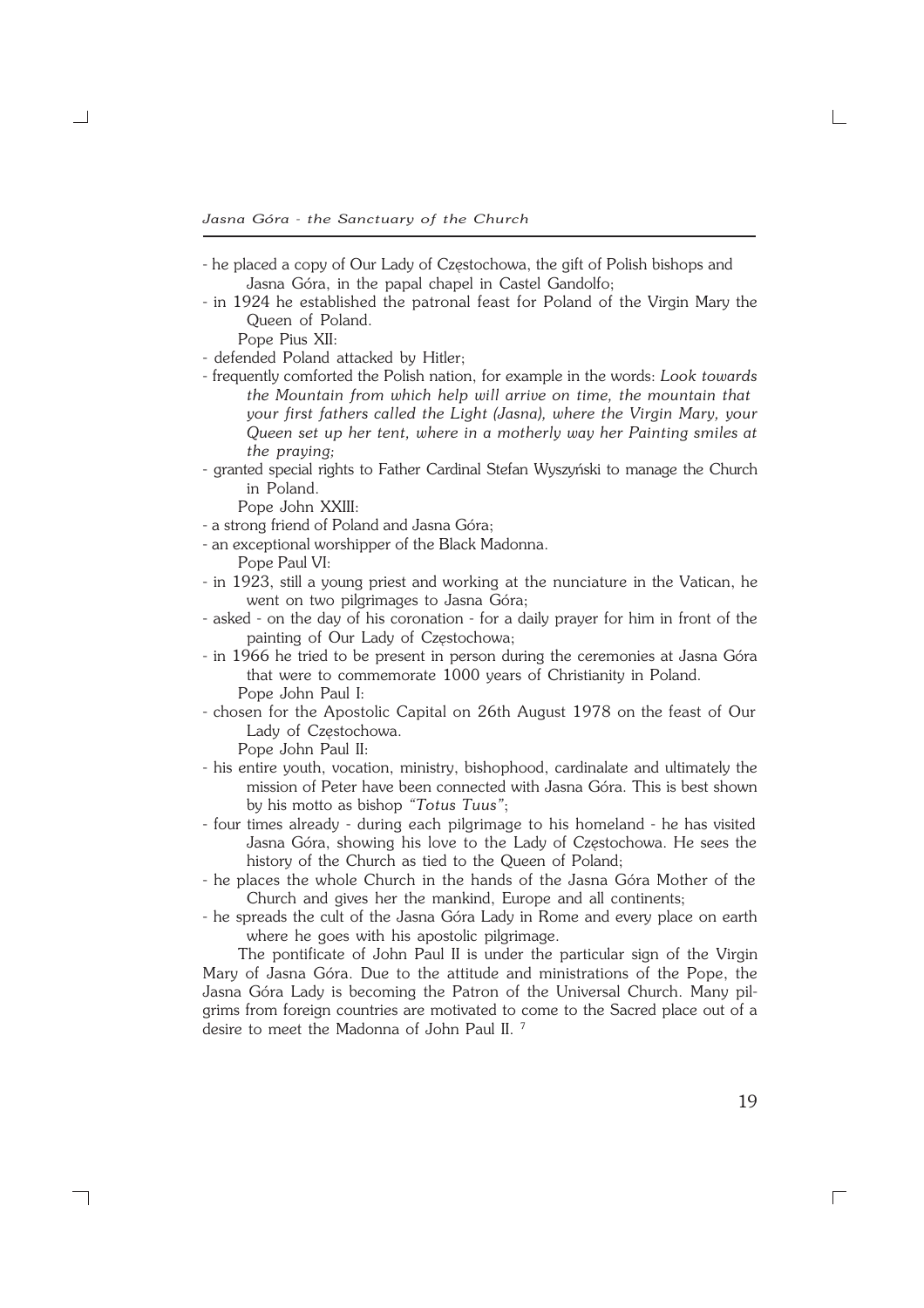- − he placed a copy of Our Lady of Częstochowa, the gift of Polish bishops and Jasna Góra, in the papal chapel in Castel Gandolfo;
- − in 1924 he established the patronal feast for Poland of the Virgin Mary the Queen of Poland.
	- Pope Pius XII:
- − defended Poland attacked by Hitler;
- − frequently comforted the Polish nation, for example in the words: *Look towards the Mountain from which help will arrive on time, the mountain that your first fathers called the Light (Jasna), where the Virgin Mary, your Queen set up her tent, where in a motherly way her Painting smiles at the praying;*
- − granted special rights to Father Cardinal Stefan Wyszyński to manage the Church in Poland.

Pope John XXIII:

- − a strong friend of Poland and Jasna Góra;
- − an exceptional worshipper of the Black Madonna.
- Pope Paul VI:
- − in 1923, still a young priest and working at the nunciature in the Vatican, he went on two pilgrimages to Jasna Góra;
- − asked − on the day of his coronation − for a daily prayer for him in front of the painting of Our Lady of Częstochowa;
- − in 1966 he tried to be present in person during the ceremonies at Jasna Góra that were to commemorate 1000 years of Christianity in Poland. Pope John Paul I:
- − chosen for the Apostolic Capital on 26th August 1978 on the feast of Our Lady of Częstochowa.

Pope John Paul II:

┑

- − his entire youth, vocation, ministry, bishophood, cardinalate and ultimately the mission of Peter have been connected with Jasna Góra. This is best shown by his motto as bishop *"Totus Tuus"*;
- − four times already − during each pilgrimage to his homeland − he has visited Jasna Góra, showing his love to the Lady of Częstochowa. He sees the history of the Church as tied to the Queen of Poland;
- − he places the whole Church in the hands of the Jasna Góra Mother of the Church and gives her the mankind, Europe and all continents;
- − he spreads the cult of the Jasna Góra Lady in Rome and every place on earth where he goes with his apostolic pilgrimage.

The pontificate of John Paul II is under the particular sign of the Virgin Mary of Jasna Góra. Due to the attitude and ministrations of the Pope, the Jasna Góra Lady is becoming the Patron of the Universal Church. Many pil− grims from foreign countries are motivated to come to the Sacred place out of a desire to meet the Madonna of John Paul II. 7

 $\Box$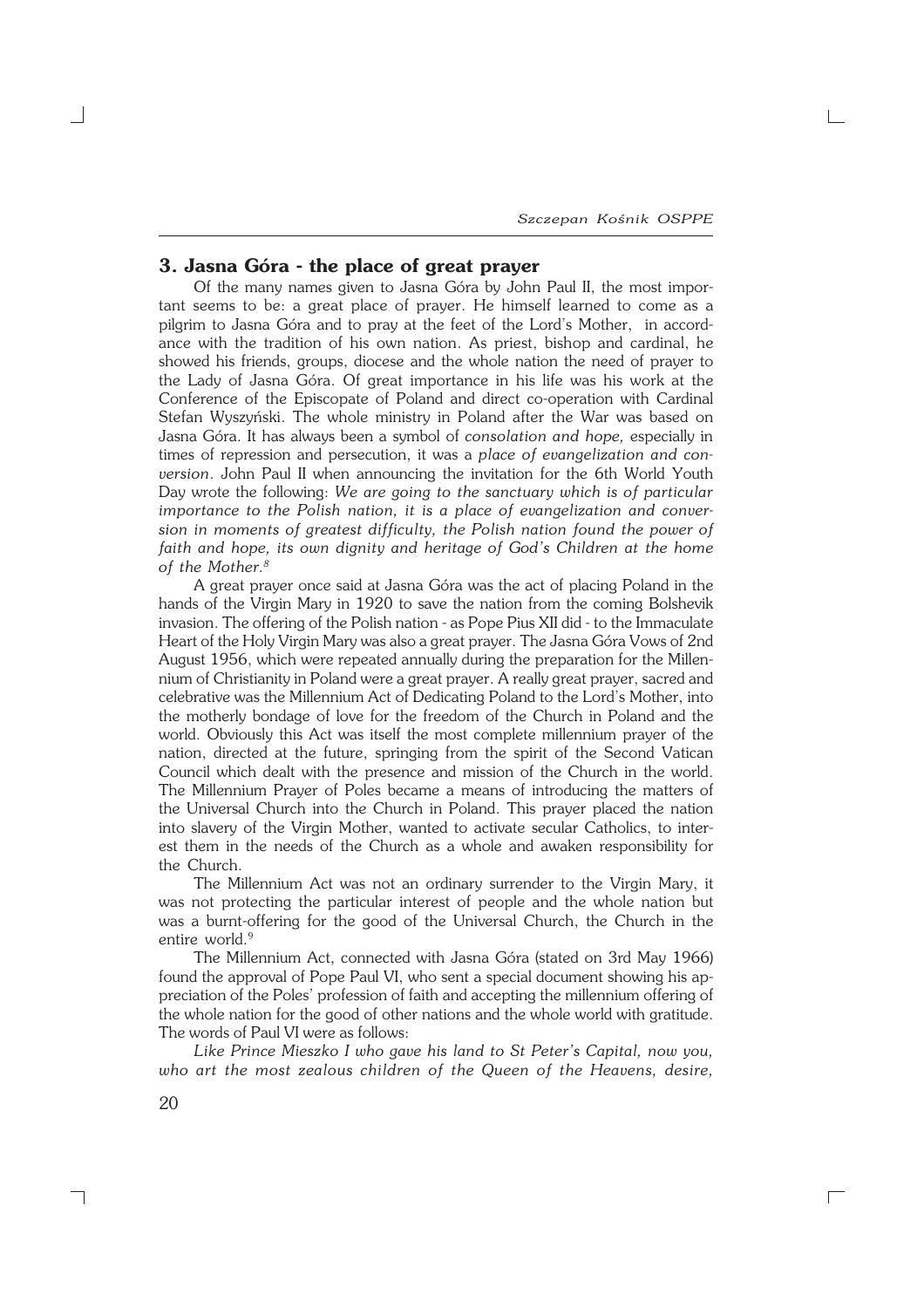$\Gamma$ 

# **3. Jasna Góra − the place of great prayer**

Of the many names given to Jasna Góra by John Paul II, the most impor− tant seems to be: a great place of prayer. He himself learned to come as a pilgrim to Jasna Góra and to pray at the feet of the Lord's Mother, in accordance with the tradition of his own nation. As priest, bishop and cardinal, he showed his friends, groups, diocese and the whole nation the need of prayer to the Lady of Jasna Góra. Of great importance in his life was his work at the Conference of the Episcopate of Poland and direct co−operation with Cardinal Stefan Wyszyński. The whole ministry in Poland after the War was based on Jasna Góra. It has always been a symbol of *consolation and hope,* especially in times of repression and persecution, it was a *place of evangelization and con− version*. John Paul II when announcing the invitation for the 6th World Youth Day wrote the following: *We are going to the sanctuary which is of particular importance to the Polish nation, it is a place of evangelization and conver− sion in moments of greatest difficulty, the Polish nation found the power of faith and hope, its own dignity and heritage of God's Children at the home of the Mother.<sup>8</sup>*

A great prayer once said at Jasna Góra was the act of placing Poland in the hands of the Virgin Mary in 1920 to save the nation from the coming Bolshevik invasion. The offering of the Polish nation − as Pope Pius XII did − to the Immaculate Heart of the Holy Virgin Mary was also a great prayer. The Jasna Góra Vows of 2nd August 1956, which were repeated annually during the preparation for the Millen− nium of Christianity in Poland were a great prayer. A really great prayer, sacred and celebrative was the Millennium Act of Dedicating Poland to the Lord's Mother, into the motherly bondage of love for the freedom of the Church in Poland and the world. Obviously this Act was itself the most complete millennium prayer of the nation, directed at the future, springing from the spirit of the Second Vatican Council which dealt with the presence and mission of the Church in the world. The Millennium Prayer of Poles became a means of introducing the matters of the Universal Church into the Church in Poland. This prayer placed the nation into slavery of the Virgin Mother, wanted to activate secular Catholics, to inter− est them in the needs of the Church as a whole and awaken responsibility for the Church.

The Millennium Act was not an ordinary surrender to the Virgin Mary, it was not protecting the particular interest of people and the whole nation but was a burnt−offering for the good of the Universal Church, the Church in the entire world.<sup>9</sup>

The Millennium Act, connected with Jasna Góra (stated on 3rd May 1966) found the approval of Pope Paul VI, who sent a special document showing his ap− preciation of the Poles' profession of faith and accepting the millennium offering of the whole nation for the good of other nations and the whole world with gratitude. The words of Paul VI were as follows:

*Like Prince Mieszko I who gave his land to St Peter's Capital, now you, who art the most zealous children of the Queen of the Heavens, desire,*

┑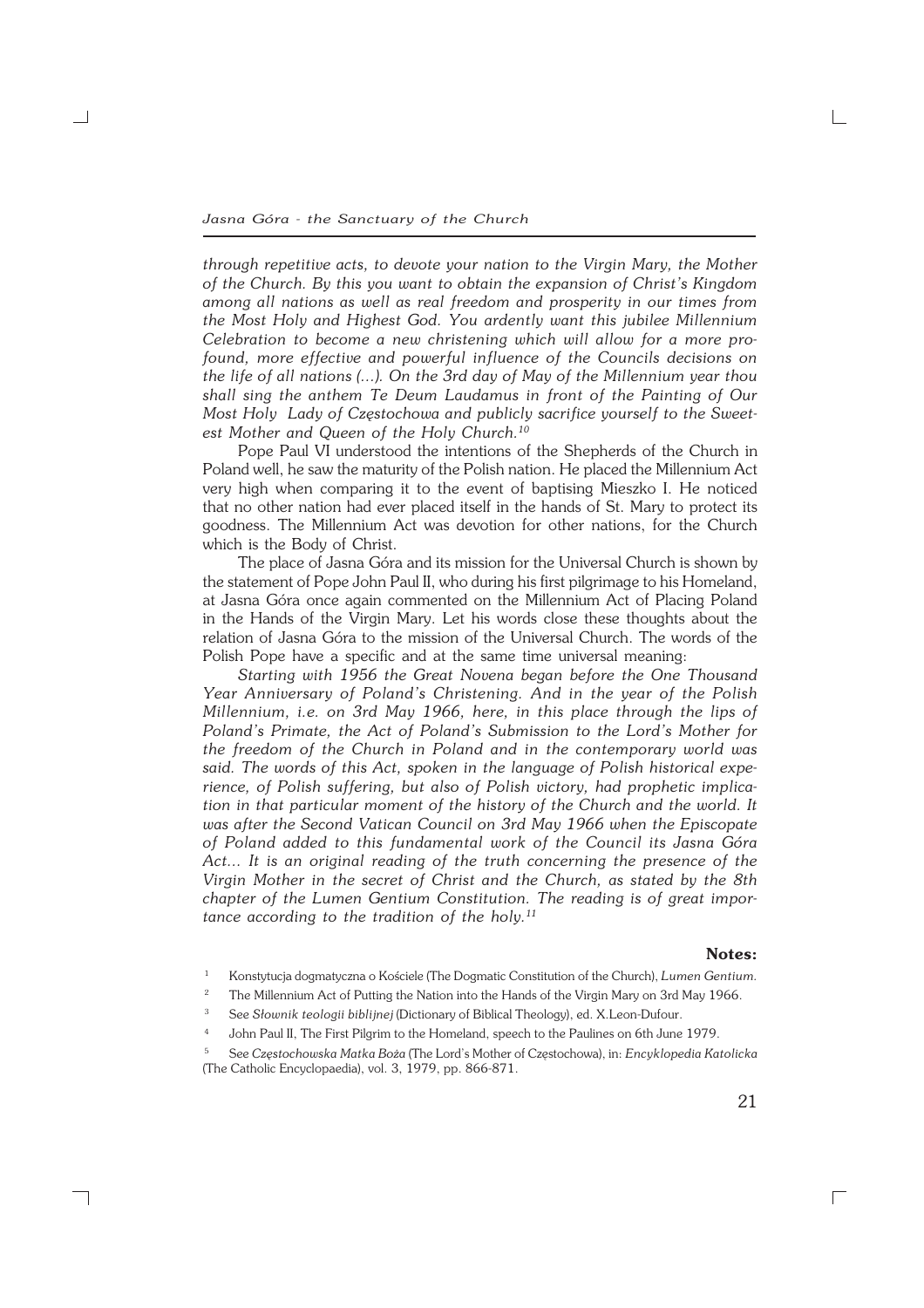*Jasna Góra − the Sanctuary of the Church*

*through repetitive acts, to devote your nation to the Virgin Mary, the Mother of the Church. By this you want to obtain the expansion of Christ's Kingdom among all nations as well as real freedom and prosperity in our times from the Most Holy and Highest God. You ardently want this jubilee Millennium Celebration to become a new christening which will allow for a more pro− found, more effective and powerful influence of the Councils decisions on the life of all nations (...). On the 3rd day of May of the Millennium year thou shall sing the anthem Te Deum Laudamus in front of the Painting of Our Most Holy Lady of Częstochowa and publicly sacrifice yourself to the Sweet− est Mother and Queen of the Holy Church.<sup>10</sup>*

Pope Paul VI understood the intentions of the Shepherds of the Church in Poland well, he saw the maturity of the Polish nation. He placed the Millennium Act very high when comparing it to the event of baptising Mieszko I. He noticed that no other nation had ever placed itself in the hands of St. Mary to protect its goodness. The Millennium Act was devotion for other nations, for the Church which is the Body of Christ.

The place of Jasna Góra and its mission for the Universal Church is shown by the statement of Pope John Paul II, who during his first pilgrimage to his Homeland, at Jasna Góra once again commented on the Millennium Act of Placing Poland in the Hands of the Virgin Mary. Let his words close these thoughts about the relation of Jasna Góra to the mission of the Universal Church. The words of the Polish Pope have a specific and at the same time universal meaning:

*Starting with 1956 the Great Novena began before the One Thousand Year Anniversary of Poland's Christening. And in the year of the Polish Millennium, i.e. on 3rd May 1966, here, in this place through the lips of Poland's Primate, the Act of Poland's Submission to the Lord's Mother for the freedom of the Church in Poland and in the contemporary world was said. The words of this Act, spoken in the language of Polish historical expe− rience, of Polish suffering, but also of Polish victory, had prophetic implica− tion in that particular moment of the history of the Church and the world. It was after the Second Vatican Council on 3rd May 1966 when the Episcopate of Poland added to this fundamental work of the Council its Jasna Góra Act... It is an original reading of the truth concerning the presence of the Virgin Mother in the secret of Christ and the Church, as stated by the 8th chapter of the Lumen Gentium Constitution. The reading is of great impor− tance according to the tradition of the holy.<sup>11</sup>*

#### **Notes:**

- <sup>2</sup> The Millennium Act of Putting the Nation into the Hands of the Virgin Mary on 3rd May 1966.
- <sup>3</sup> See *Słownik teologii biblijnej* (Dictionary of Biblical Theology), ed. X.Leon−Dufour.
- <sup>4</sup> John Paul II, The First Pilgrim to the Homeland, speech to the Paulines on 6th June 1979.
- <sup>5</sup> See *Częstochowska Matka Boża* (The Lord's Mother of Częstochowa), in: *Encyklopedia Katolicka* (The Catholic Encyclopaedia), vol. 3, 1979, pp. 866−871.

 $\Box$ 

<sup>1</sup> Konstytucja dogmatyczna o Kościele (The Dogmatic Constitution of the Church), *Lumen Gentium.*